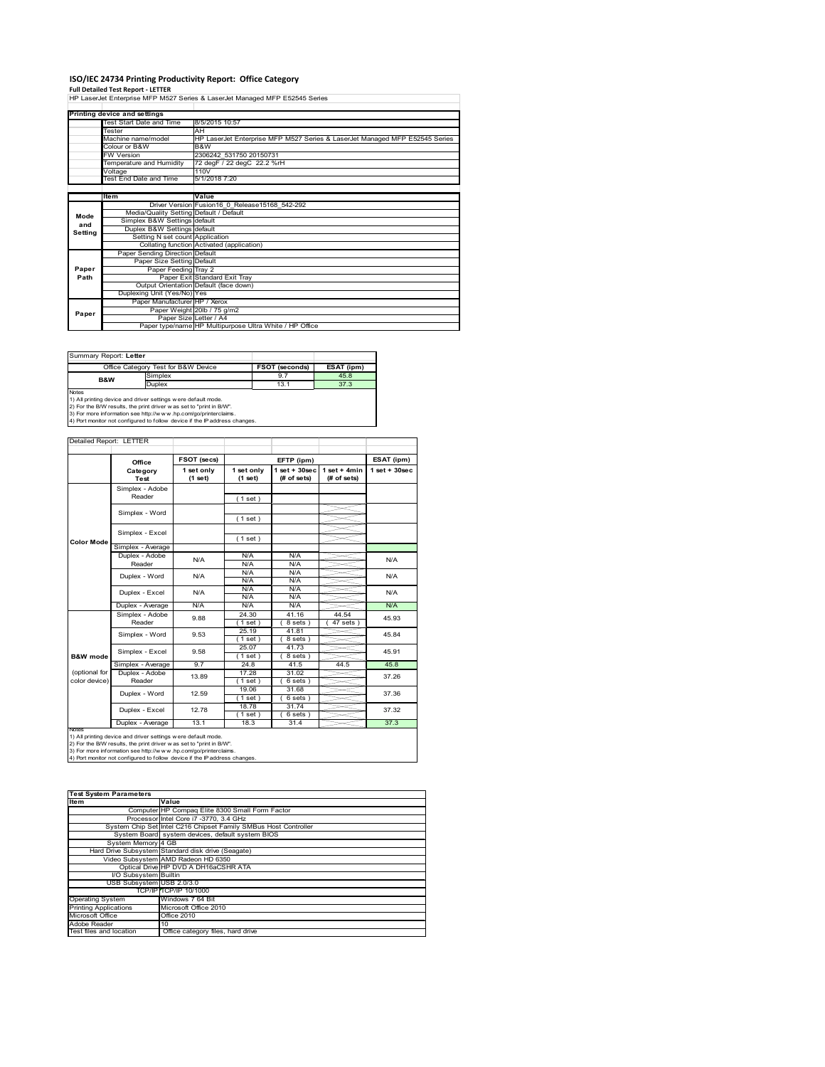# **ISO/IEC 24734 Printing Productivity Report: Office Category<br>Full Detailed Test Report - LETTER<br>HP LaserJet Enterprise MFP M527 Series & LaserJet Managed MFP E52545 Series**

|         | Printing device and settings            |                                                                             |
|---------|-----------------------------------------|-----------------------------------------------------------------------------|
|         | Test Start Date and Time                | 8/5/2015 10:57                                                              |
|         | Tester                                  | AH                                                                          |
|         | Machine name/model                      | HP LaserJet Enterprise MFP M527 Series & LaserJet Managed MFP E52545 Series |
|         | Colour or B&W                           | B&W                                                                         |
|         | <b>FW Version</b>                       | 2306242 531750 20150731                                                     |
|         | Temperature and Humidity                | 72 degF / 22 degC 22.2 %rH                                                  |
|         | Voltage                                 | 110V                                                                        |
|         | Test End Date and Time                  | 5/1/2018 7:20                                                               |
|         |                                         |                                                                             |
|         | Item                                    | Value                                                                       |
|         |                                         | Driver Version Fusion16 0 Release15168 542-292                              |
| Mode    | Media/Quality Setting Default / Default |                                                                             |
| and     | Simplex B&W Settings default            |                                                                             |
| Setting | Duplex B&W Settings default             |                                                                             |
|         | Setting N set count Application         |                                                                             |
|         |                                         | Collating function Activated (application)                                  |
|         | Paper Sending Direction Default         |                                                                             |
|         | Paper Size Setting Default              |                                                                             |
| Paper   | Paper Feeding Tray 2                    |                                                                             |
| Path    |                                         | Paper Exit Standard Exit Tray                                               |
|         |                                         | Output Orientation Default (face down)                                      |
|         | Duplexing Unit (Yes/No) Yes             |                                                                             |
|         | Paper Manufacturer HP / Xerox           |                                                                             |
| Paper   |                                         | Paper Weight 20lb / 75 g/m2                                                 |
|         | Paper Size Letter / A4                  |                                                                             |
|         |                                         | Paper type/name HP Multipurpose Ultra White / HP Office                     |

Ī

Summary Report: **Letter**

|                | Office Category Test for B&W Device                           | <b>FSOT (seconds)</b> | ESAT (ipm) |  |  |  |  |
|----------------|---------------------------------------------------------------|-----------------------|------------|--|--|--|--|
| <b>B&amp;W</b> | Simplex                                                       | 9.7                   | 45.8       |  |  |  |  |
|                | Duplex                                                        | 13.1                  | 37.3       |  |  |  |  |
| <b>Notes</b>   |                                                               |                       |            |  |  |  |  |
|                | 1) All printing device and driver settings were default mode. |                       |            |  |  |  |  |

1) All printing device and driver settings were default mode.<br>2) For the B/W results, the print driver was set to "print in B/W".<br>3) For more information see http://www.hp.com/go/printerclaims.<br>4) Port monitor not configur

#### Detailed Report: LETTER

|                                | Office                    | FSOT (secs)           |                       | EFTP (ipm)                        |                               |                   |
|--------------------------------|---------------------------|-----------------------|-----------------------|-----------------------------------|-------------------------------|-------------------|
|                                | Category<br>Test          | 1 set only<br>(1 set) | 1 set only<br>(1 set) | $1$ set + $30$ sec<br>(# of sets) | $1$ set + 4min<br>(# of sets) | $1$ set $+30$ sec |
|                                | Simplex - Adobe<br>Reader |                       | (1 set)               |                                   |                               |                   |
|                                | Simplex - Word            |                       | (1 set)               |                                   |                               |                   |
| <b>Color Mode</b>              | Simplex - Excel           |                       | (1 set)               |                                   |                               |                   |
|                                | Simplex - Average         |                       |                       |                                   |                               |                   |
|                                | Duplex - Adobe<br>Reader  | N/A                   | N/A<br>N/A            | N/A<br>N/A                        |                               | N/A               |
|                                | Duplex - Word             | N/A                   | N/A<br>N/A            | N/A<br>N/A                        |                               | N/A               |
|                                | Duplex - Excel            | N/A                   | N/A<br>N/A            | N/A<br>N/A                        |                               | N/A               |
|                                | Duplex - Average          | N/A                   | N/A                   | N/A                               |                               | N/A               |
|                                | Simplex - Adobe<br>Reader | 9.88                  | 24.30<br>(1 set)      | 41.16<br>8 sets)                  | 44.54<br>$47$ sets $)$        | 45.93             |
|                                | Simplex - Word            | 9.53                  | 25.19<br>(1 set)      | 41.81<br>8 sets)                  |                               | 45.84             |
| <b>B&amp;W</b> mode            | Simplex - Excel           | 9.58                  | 25.07<br>$1$ set $)$  | 41.73<br>8 sets)                  |                               | 45.91             |
|                                | Simplex - Average         | 9.7                   | 24.8                  | 41.5                              | 44.5                          | 45.8              |
| (optional for<br>color device) | Duplex - Adobe<br>Reader  | 13.89                 | 17.28<br>$1$ set)     | 31.02<br>$6 sets$ )               |                               | 37.26             |
|                                | Duplex - Word             | 12.59                 | 19.06<br>$1$ set $)$  | 31.68<br>6 sets)                  |                               | 37.36             |
|                                | Duplex - Excel            | 12.78                 | 18.78<br>$1$ set)     | 31.74<br>$6 sets$ )               |                               | 37.32             |
| Notee                          | Duplex - Average          | 13.1                  | 18.3                  | 31.4                              |                               | 37.3              |

Notes<br>1) All printing device and driver settings were default mode.<br>2) For the B/W results, the print driver was set to "print in B/W".<br>3) For more information see http://www.hp.com/go/printerclaims.<br>4) Por more informati

| <b>Test System Parameters</b> |                                                                 |  |  |  |
|-------------------------------|-----------------------------------------------------------------|--|--|--|
| <b>Item</b>                   | Value                                                           |  |  |  |
|                               | Computer HP Compaq Elite 8300 Small Form Factor                 |  |  |  |
|                               | Processor Intel Core i7 -3770, 3.4 GHz                          |  |  |  |
|                               | System Chip Set Intel C216 Chipset Family SMBus Host Controller |  |  |  |
|                               | System Board system devices, default system BIOS                |  |  |  |
| System Memory 4 GB            |                                                                 |  |  |  |
|                               | Hard Drive Subsystem Standard disk drive (Seagate)              |  |  |  |
|                               | Video Subsystem AMD Radeon HD 6350                              |  |  |  |
|                               | Optical Drive HP DVD A DH16aCSHR ATA                            |  |  |  |
| I/O Subsystem Builtin         |                                                                 |  |  |  |
| USB Subsystem USB 2.0/3.0     |                                                                 |  |  |  |
|                               | TCP/IPITCP/IP 10/1000                                           |  |  |  |
| <b>Operating System</b>       | Windows 7 64 Bit                                                |  |  |  |
| <b>Printing Applications</b>  | Microsoft Office 2010                                           |  |  |  |
| Microsoft Office              | <b>Office 2010</b>                                              |  |  |  |
| Adobe Reader                  | 10                                                              |  |  |  |
| Test files and location       | Office category files, hard drive                               |  |  |  |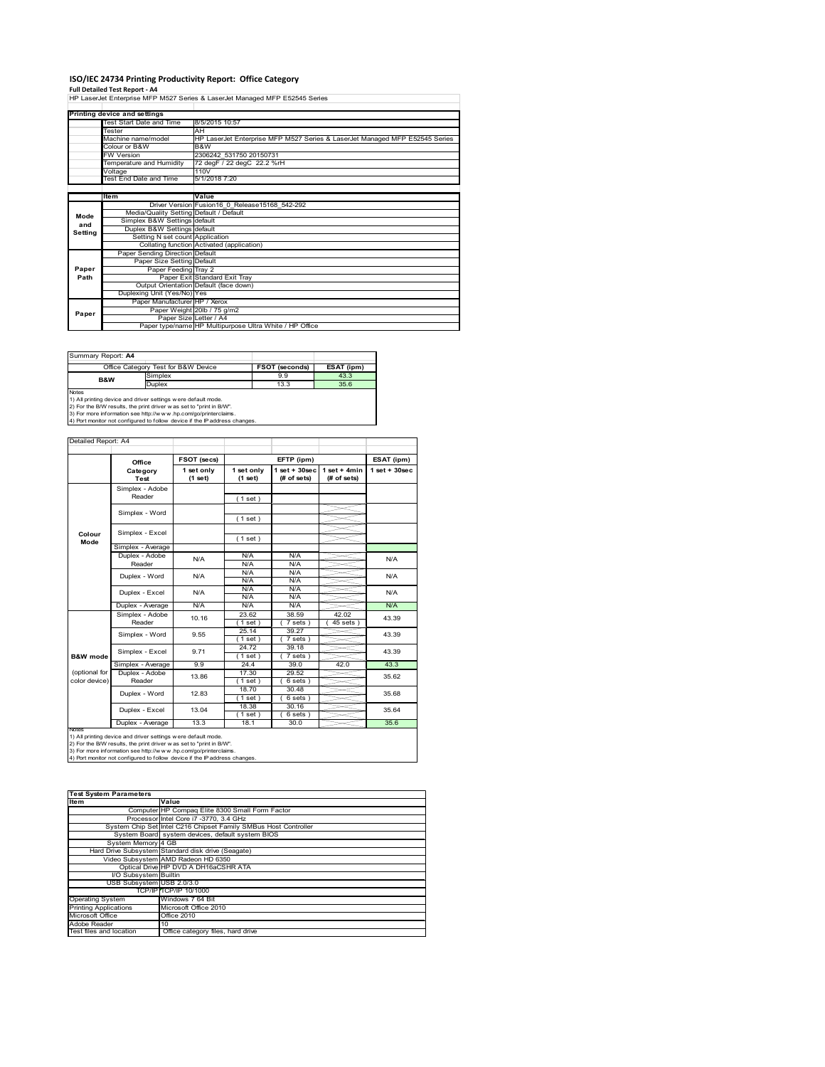## **ISO/IEC 24734 Printing Productivity Report: Office Category**

**Full Detailed Test Report ‐ A4** HP LaserJet Enterprise MFP M527 Series & LaserJet Managed MFP E52545 Series

|         | Printing device and settings            |                                                                             |
|---------|-----------------------------------------|-----------------------------------------------------------------------------|
|         | Test Start Date and Time                | 8/5/2015 10:57                                                              |
|         | Tester                                  | AH                                                                          |
|         | Machine name/model                      | HP LaserJet Enterprise MFP M527 Series & LaserJet Managed MFP E52545 Series |
|         | Colour or B&W                           | B&W                                                                         |
|         | <b>FW Version</b>                       | 2306242 531750 20150731                                                     |
|         | Temperature and Humidity                | 72 degF / 22 degC 22.2 %rH                                                  |
|         | Voltage                                 | 110V                                                                        |
|         | Test End Date and Time                  | 5/1/2018 7:20                                                               |
|         |                                         |                                                                             |
|         | Item                                    | Value                                                                       |
|         |                                         | Driver Version Fusion16 0 Release15168 542-292                              |
| Mode    | Media/Quality Setting Default / Default |                                                                             |
| and     | Simplex B&W Settings default            |                                                                             |
| Setting | Duplex B&W Settings default             |                                                                             |
|         | Setting N set count Application         |                                                                             |
|         |                                         | Collating function Activated (application)                                  |
|         | Paper Sending Direction Default         |                                                                             |
|         | Paper Size Setting Default              |                                                                             |
| Paper   | Paper Feeding Tray 2                    |                                                                             |
| Path    |                                         | Paper Exit Standard Exit Tray                                               |
|         |                                         | Output Orientation Default (face down)                                      |
|         | Duplexing Unit (Yes/No) Yes             |                                                                             |
|         | Paper Manufacturer HP / Xerox           |                                                                             |
| Paper   |                                         | Paper Weight 20lb / 75 g/m2                                                 |
|         | Paper Size Letter / A4                  |                                                                             |
|         |                                         | Paper type/name HP Multipurpose Ultra White / HP Office                     |

Summary Report: **A4**

| <b>JUILLIAR ROUDLAT</b>                                             |                                                                            |                       |            |  |  |  |  |
|---------------------------------------------------------------------|----------------------------------------------------------------------------|-----------------------|------------|--|--|--|--|
| Office Category Test for B&W Device                                 |                                                                            | <b>FSOT (seconds)</b> | ESAT (ipm) |  |  |  |  |
| <b>B&amp;W</b>                                                      | Simplex                                                                    | 9.9                   | 43.3       |  |  |  |  |
|                                                                     | <b>Duplex</b>                                                              | 13.3                  | 35.6       |  |  |  |  |
| <b>Notes</b>                                                        |                                                                            |                       |            |  |  |  |  |
|                                                                     | 1) All printing device and driver settings were default mode.              |                       |            |  |  |  |  |
| 2) For the B/W results, the print driver was set to "print in B/W". |                                                                            |                       |            |  |  |  |  |
|                                                                     | 3) For more information see http://www.hp.com/go/printerclaims.            |                       |            |  |  |  |  |
|                                                                     | 4) Port monitor not configured to follow device if the IP address changes. |                       |            |  |  |  |  |

|                                | Office                    | FSOT (secs)           |                       | EFTP (ipm)                     |                                | ESAT (ipm)         |
|--------------------------------|---------------------------|-----------------------|-----------------------|--------------------------------|--------------------------------|--------------------|
|                                | Category<br>Test          | 1 set only<br>(1 set) | 1 set only<br>(1 set) | $1$ set + 30sec<br>(# of sets) | $1 set + 4 min$<br>(# of sets) | $1$ set + $30$ sec |
|                                | Simplex - Adobe<br>Reader |                       | (1 set)               |                                |                                |                    |
|                                | Simplex - Word            |                       | (1 set)               |                                |                                |                    |
| Colour<br>Mode                 | Simplex - Excel           |                       | (1 set)               |                                |                                |                    |
|                                | Simplex - Average         |                       |                       |                                |                                |                    |
|                                | Duplex - Adobe<br>Reader  | N/A                   | N/A<br>N/A            | N/A<br>N/A                     |                                | N/A                |
|                                | Duplex - Word             | N/A                   | N/A<br>N/A            | N/A<br>N/A                     |                                | N/A                |
|                                | Duplex - Excel            | N/A                   | N/A<br>N/A            | N/A<br>N/A                     |                                | N/A                |
|                                | Duplex - Average          | N/A                   | N/A                   | N/A                            |                                | N/A                |
|                                | Simplex - Adobe<br>Reader | 10.16                 | 23.62<br>1 set)       | 38.59<br>7 sets)               | 42.02<br>$45$ sets $)$         | 43.39              |
|                                | Simplex - Word            | 9.55                  | 25.14<br>1 set)       | 39.27<br>7 sets)               |                                | 43.39              |
| <b>B&amp;W</b> mode            | Simplex - Excel           | 9.71                  | 24.72<br>$1$ set)     | 39.18<br>$7 sets$ )            |                                | 43.39              |
|                                | Simplex - Average         | 9.9                   | 24.4                  | 39.0                           | 42.0                           | 43.3               |
| (optional for<br>color device) | Duplex - Adobe<br>Reader  | 13.86                 | 17.30<br>(1 set)      | 29.52<br>$6 sets$ )            |                                | 35.62              |
|                                | Duplex - Word             | 12.83                 | 18.70<br>$1$ set)     | 30.48<br>$6 sets$ )            |                                | 35.68              |
|                                | Duplex - Excel            | 13.04                 | 18.38<br>$1$ set)     | 30.16<br>$6 sets$ )            |                                | 35.64              |
|                                | Duplex - Average          | 13.3                  | 18.1                  | 30.0                           |                                | 35.6               |

Notes<br>1) All printing device and driver settings were default mode.<br>2) For the B/W results, the print driver was set to "print in B/W".<br>3) For more information see http://www.hp.com/go/printerclaims.<br>4) Por more informati

| <b>Test System Parameters</b> |                                                                 |  |  |  |
|-------------------------------|-----------------------------------------------------------------|--|--|--|
| <b>Item</b>                   | Value                                                           |  |  |  |
|                               | Computer HP Compaq Elite 8300 Small Form Factor                 |  |  |  |
|                               | Processor Intel Core i7 -3770, 3.4 GHz                          |  |  |  |
|                               | System Chip Set Intel C216 Chipset Family SMBus Host Controller |  |  |  |
|                               | System Board system devices, default system BIOS                |  |  |  |
| System Memory 4 GB            |                                                                 |  |  |  |
|                               | Hard Drive Subsystem Standard disk drive (Seagate)              |  |  |  |
|                               | Video Subsystem AMD Radeon HD 6350                              |  |  |  |
|                               | Optical Drive HP DVD A DH16aCSHR ATA                            |  |  |  |
| <b>VO Subsystem</b> Builtin   |                                                                 |  |  |  |
| USB Subsystem USB 2.0/3.0     |                                                                 |  |  |  |
|                               | TCP/IPITCP/IP 10/1000                                           |  |  |  |
| <b>Operating System</b>       | Windows 7 64 Bit                                                |  |  |  |
| <b>Printing Applications</b>  | Microsoft Office 2010                                           |  |  |  |
| Microsoft Office              | Office 2010                                                     |  |  |  |
| Adobe Reader                  | 10                                                              |  |  |  |
| Test files and location       | Office category files, hard drive                               |  |  |  |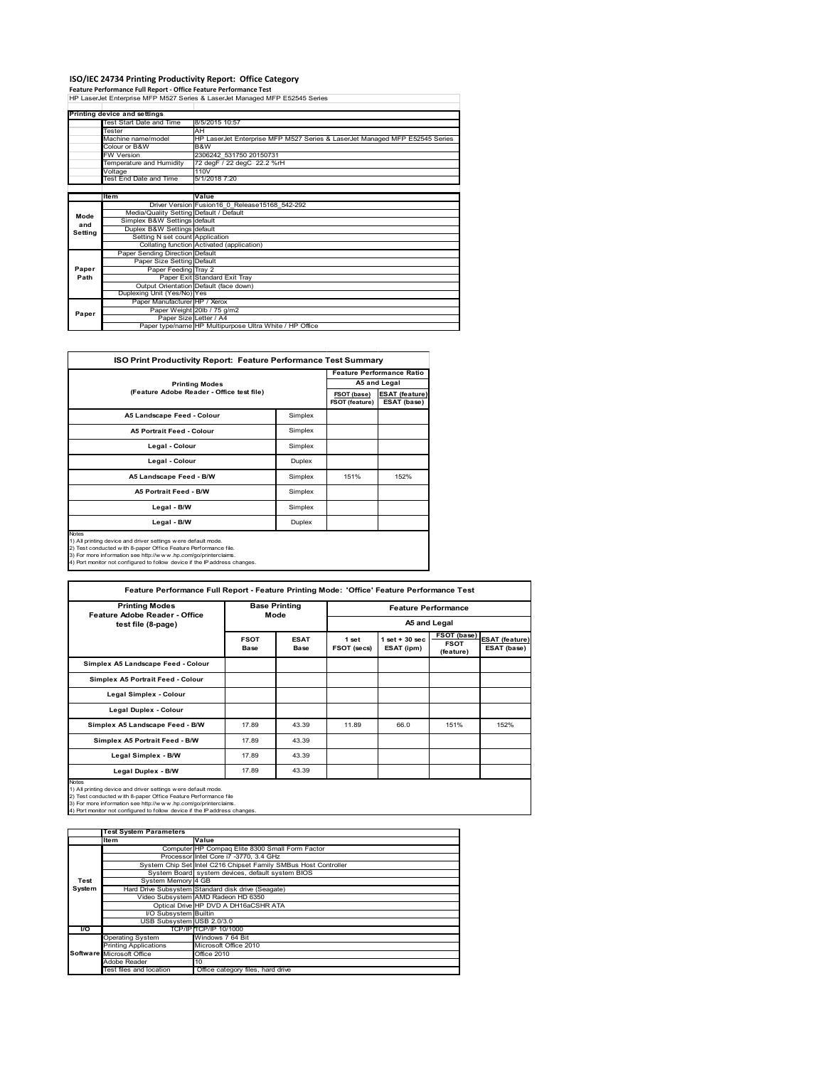# **ISO/IEC 24734 Printing Productivity Report: Office Category<br>Feature Performance Full Report - Office Feature Performance Test<br>HP LaserJet Enterprise MFP M527 Series & LaserJet Managed MFP E52545 Series**

|         | Printing device and settings            |                                                                             |  |  |  |
|---------|-----------------------------------------|-----------------------------------------------------------------------------|--|--|--|
|         | Test Start Date and Time                | 8/5/2015 10:57                                                              |  |  |  |
|         | <b>Tester</b>                           | AH                                                                          |  |  |  |
|         | Machine name/model                      | HP LaserJet Enterprise MFP M527 Series & LaserJet Managed MFP E52545 Series |  |  |  |
|         | Colour or B&W                           | B&W                                                                         |  |  |  |
|         | <b>FW Version</b>                       | 2306242 531750 20150731                                                     |  |  |  |
|         | Temperature and Humidity                | 72 degF / 22 degC 22.2 %rH                                                  |  |  |  |
|         | Voltage                                 | 110V                                                                        |  |  |  |
|         | Test End Date and Time                  | 5/1/2018 7:20                                                               |  |  |  |
|         |                                         |                                                                             |  |  |  |
|         | Item                                    | Value                                                                       |  |  |  |
|         |                                         | Driver Version Fusion16 0 Release15168 542-292                              |  |  |  |
| Mode    | Media/Quality Setting Default / Default |                                                                             |  |  |  |
| and     | Simplex B&W Settings default            |                                                                             |  |  |  |
| Setting | Duplex B&W Settings default             |                                                                             |  |  |  |
|         | Setting N set count Application         |                                                                             |  |  |  |
|         |                                         | Collating function Activated (application)                                  |  |  |  |
|         | Paper Sending Direction Default         |                                                                             |  |  |  |
|         | Paper Size Setting Default              |                                                                             |  |  |  |
| Paper   | Paper Feeding Tray 2                    |                                                                             |  |  |  |
| Path    |                                         | Paper Exit Standard Exit Tray                                               |  |  |  |
|         |                                         | Output Orientation Default (face down)                                      |  |  |  |
|         | Duplexing Unit (Yes/No) Yes             |                                                                             |  |  |  |
|         | Paper Manufacturer HP / Xerox           |                                                                             |  |  |  |
| Paper   |                                         | Paper Weight 20lb / 75 g/m2                                                 |  |  |  |
|         |                                         | Paper Size Letter / A4                                                      |  |  |  |
|         |                                         | Paper type/name HP Multipurpose Ultra White / HP Office                     |  |  |  |

| ISO Print Productivity Report: Feature Performance Test Summary |
|-----------------------------------------------------------------|
|                                                                 |

|                                           |         | <b>Feature Performance Ratio</b> |                                      |  |
|-------------------------------------------|---------|----------------------------------|--------------------------------------|--|
| <b>Printing Modes</b>                     |         |                                  | A5 and Legal                         |  |
| (Feature Adobe Reader - Office test file) |         | FSOT (base)<br>FSOT (feature)    | <b>ESAT (feature)</b><br>ESAT (base) |  |
| A5 Landscape Feed - Colour                | Simplex |                                  |                                      |  |
| <b>A5 Portrait Feed - Colour</b>          | Simplex |                                  |                                      |  |
| Legal - Colour                            | Simplex |                                  |                                      |  |
| Legal - Colour                            | Duplex  |                                  |                                      |  |
| A5 Landscape Feed - B/W                   | Simplex | 151%                             | 152%                                 |  |
| A5 Portrait Feed - B/W                    | Simplex |                                  |                                      |  |
| Legal - B/W                               | Simplex |                                  |                                      |  |
| Legal - B/W                               | Duplex  |                                  |                                      |  |

3) For more information see http://w w w .hp.com/go/printerclaims. 4) Port monitor not configured to follow device if the IP address changes.

H

| <b>Printing Modes</b>                                                                                                                                                                                                                                                                     | <b>Base Printing</b>       |                     |                                            |                                |                                         |                                      |  |
|-------------------------------------------------------------------------------------------------------------------------------------------------------------------------------------------------------------------------------------------------------------------------------------------|----------------------------|---------------------|--------------------------------------------|--------------------------------|-----------------------------------------|--------------------------------------|--|
| Feature Adobe Reader - Office                                                                                                                                                                                                                                                             | Mode                       |                     | <b>Feature Performance</b><br>A5 and Legal |                                |                                         |                                      |  |
| test file (8-page)                                                                                                                                                                                                                                                                        |                            |                     |                                            |                                |                                         |                                      |  |
|                                                                                                                                                                                                                                                                                           | <b>FSOT</b><br><b>Base</b> | <b>ESAT</b><br>Base | 1 set<br>FSOT (secs)                       | $1$ set + 30 sec<br>ESAT (ipm) | FSOT (base)<br><b>FSOT</b><br>(feature) | <b>ESAT (feature)</b><br>ESAT (base) |  |
| Simplex A5 Landscape Feed - Colour                                                                                                                                                                                                                                                        |                            |                     |                                            |                                |                                         |                                      |  |
| Simplex A5 Portrait Feed - Colour                                                                                                                                                                                                                                                         |                            |                     |                                            |                                |                                         |                                      |  |
| Legal Simplex - Colour                                                                                                                                                                                                                                                                    |                            |                     |                                            |                                |                                         |                                      |  |
| Legal Duplex - Colour                                                                                                                                                                                                                                                                     |                            |                     |                                            |                                |                                         |                                      |  |
| Simplex A5 Landscape Feed - B/W                                                                                                                                                                                                                                                           | 17.89                      | 43.39               | 11.89                                      | 66.0                           | 151%                                    | 152%                                 |  |
| Simplex A5 Portrait Feed - B/W                                                                                                                                                                                                                                                            | 17.89                      | 43.39               |                                            |                                |                                         |                                      |  |
| Legal Simplex - B/W                                                                                                                                                                                                                                                                       | 17.89                      | 43.39               |                                            |                                |                                         |                                      |  |
| Legal Duplex - B/W                                                                                                                                                                                                                                                                        | 17.89                      | 43.39               |                                            |                                |                                         |                                      |  |
| Notes<br>1) All printing device and driver settings were default mode.<br>2) Test conducted with 8-paper Office Feature Performance file<br>3) For more information see http://www.hp.com/go/printerclaims.<br>4) Port monitor not configured to follow device if the IP address changes. |                            |                     |                                            |                                |                                         |                                      |  |

|        | <b>Test System Parameters</b> |                                                                 |
|--------|-------------------------------|-----------------------------------------------------------------|
|        | <b>Item</b>                   | Value                                                           |
|        |                               | Computer HP Compaq Elite 8300 Small Form Factor                 |
|        |                               | Processor Intel Core i7 -3770, 3.4 GHz                          |
|        |                               | System Chip Set Intel C216 Chipset Family SMBus Host Controller |
|        |                               | System Board system devices, default system BIOS                |
| Test   | System Memory 4 GB            |                                                                 |
| System |                               | Hard Drive Subsystem Standard disk drive (Seagate)              |
|        |                               | Video Subsystem AMD Radeon HD 6350                              |
|        |                               | Optical Drive HP DVD A DH16aCSHR ATA                            |
|        | I/O Subsystem Builtin         |                                                                 |
|        | USB Subsystem USB 2.0/3.0     |                                                                 |
| I/O    |                               | TCP/IPITCP/IP 10/1000                                           |
|        | <b>Operating System</b>       | Windows 7 64 Bit                                                |
|        | <b>Printing Applications</b>  | Microsoft Office 2010                                           |
|        | Software Microsoft Office     | Office 2010                                                     |
|        | Adobe Reader                  | 10                                                              |
|        | Test files and location       | Office category files, hard drive                               |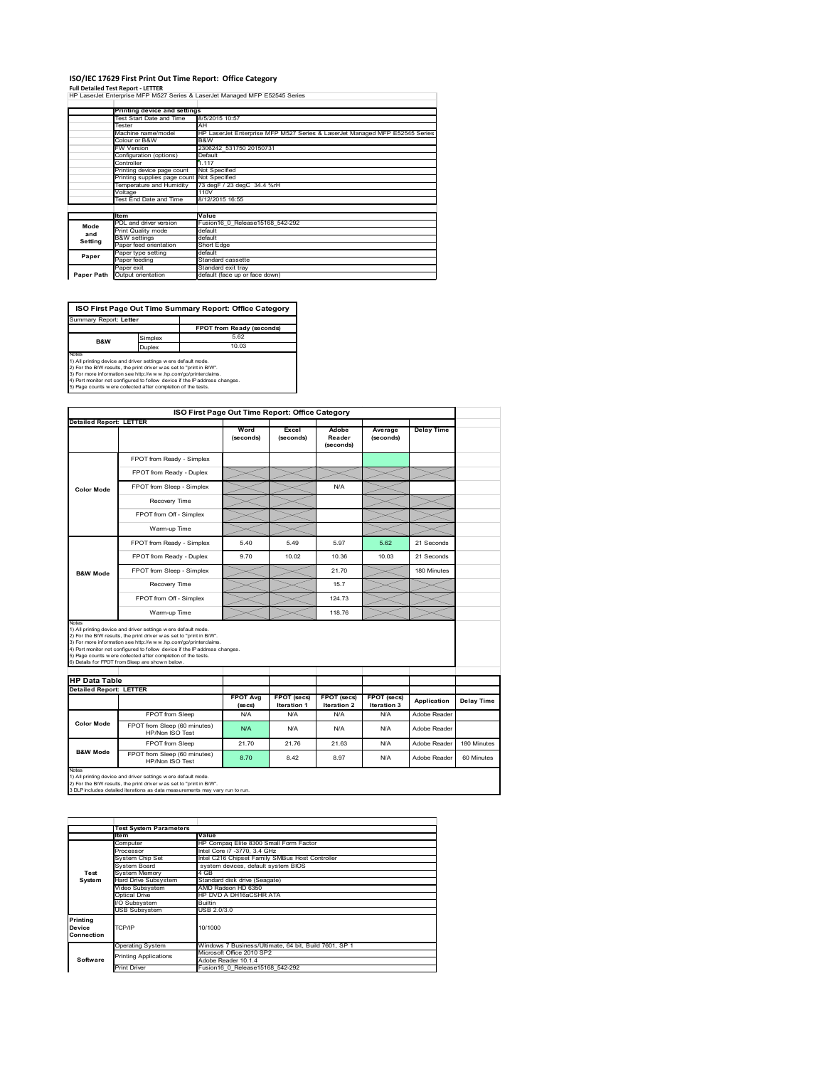#### **ISO/IEC 17629 First Print Out Time Report: Office Category**

**Full Detailed Test Report ‐ LETTER** HP LaserJet Enterprise MFP M527 Series & LaserJet Managed MFP E52545 Series

|            | Printing device and settings               |                                                                                   |  |  |  |  |
|------------|--------------------------------------------|-----------------------------------------------------------------------------------|--|--|--|--|
|            | Test Start Date and Time                   | 8/5/2015 10:57                                                                    |  |  |  |  |
|            | Tester                                     | AH<br>HP LaserJet Enterprise MFP M527 Series & LaserJet Managed MFP E52545 Series |  |  |  |  |
|            | Machine name/model                         |                                                                                   |  |  |  |  |
|            | Colour or B&W                              | B&W                                                                               |  |  |  |  |
|            | <b>FW Version</b>                          | 2306242 531750 20150731                                                           |  |  |  |  |
|            | Configuration (options)                    | Default                                                                           |  |  |  |  |
|            | Controller                                 | 1.117                                                                             |  |  |  |  |
|            | Printing device page count                 | Not Specified<br>73 degF / 23 degC 34.4 %rH                                       |  |  |  |  |
|            | Printing supplies page count Not Specified |                                                                                   |  |  |  |  |
|            | Temperature and Humidity                   |                                                                                   |  |  |  |  |
|            | Voltage                                    | 110V                                                                              |  |  |  |  |
|            | Test End Date and Time                     | 8/12/2015 16:55                                                                   |  |  |  |  |
|            |                                            |                                                                                   |  |  |  |  |
|            | <b>Item</b>                                | Value                                                                             |  |  |  |  |
| Mode       | PDL and driver version                     | Fusion16 0 Release15168 542-292                                                   |  |  |  |  |
| and        | Print Quality mode                         | default                                                                           |  |  |  |  |
| Setting    | <b>B&amp;W</b> settings                    | default                                                                           |  |  |  |  |
|            | Paper feed orientation                     | Short Edge                                                                        |  |  |  |  |
| Paper      | Paper type setting                         | default                                                                           |  |  |  |  |
|            | Paper feeding                              | Standard cassette                                                                 |  |  |  |  |
|            | Paper exit                                 | Standard exit tray                                                                |  |  |  |  |
| Paper Path | Output orientation                         | default (face up or face down)                                                    |  |  |  |  |

**FPOT from Ready (seconds) ISO First Page Out Time Summary Report: Office Category** Summary Report: **Letter**

Simplex 5.62<br>Duplex 10.03 **B&W**

Notes<br>
Notes<br>
10.03<br>
1) All printing device and driver settings were default mode.<br>
2) For the BW results, the print driver was set to "print in BW.<br>
4) Port more information see http://www.bp.com/go/printerclaims.<br>
4) P

|                                |                                                                                                                                                                                                                                                                                                                                           | ISO First Page Out Time Report: Office Category |                                   |                              |                            |                   |
|--------------------------------|-------------------------------------------------------------------------------------------------------------------------------------------------------------------------------------------------------------------------------------------------------------------------------------------------------------------------------------------|-------------------------------------------------|-----------------------------------|------------------------------|----------------------------|-------------------|
| <b>Detailed Report: LETTER</b> |                                                                                                                                                                                                                                                                                                                                           | Word<br>(seconds)                               | Excel<br>(seconds)                | Adobe<br>Reader<br>(seconds) | Average<br>(seconds)       | <b>Delay Time</b> |
|                                | FPOT from Ready - Simplex                                                                                                                                                                                                                                                                                                                 |                                                 |                                   |                              |                            |                   |
|                                | FPOT from Ready - Duplex                                                                                                                                                                                                                                                                                                                  |                                                 |                                   |                              |                            |                   |
| <b>Color Mode</b>              | FPOT from Sleep - Simplex                                                                                                                                                                                                                                                                                                                 |                                                 |                                   | N/A                          |                            |                   |
|                                | Recovery Time                                                                                                                                                                                                                                                                                                                             |                                                 |                                   |                              |                            |                   |
|                                | FPOT from Off - Simplex                                                                                                                                                                                                                                                                                                                   |                                                 |                                   |                              |                            |                   |
|                                | Warm-up Time                                                                                                                                                                                                                                                                                                                              |                                                 |                                   |                              |                            |                   |
|                                | FPOT from Ready - Simplex                                                                                                                                                                                                                                                                                                                 | 5.40                                            | 5.49                              | 5.97                         | 5.62                       | 21 Seconds        |
|                                | FPOT from Ready - Duplex                                                                                                                                                                                                                                                                                                                  | 9.70                                            | 10.02                             | 10.36                        | 10.03                      | 21 Seconds        |
| <b>B&amp;W Mode</b>            | FPOT from Sleep - Simplex                                                                                                                                                                                                                                                                                                                 |                                                 |                                   | 21.70                        |                            | 180 Minutes       |
|                                | Recovery Time                                                                                                                                                                                                                                                                                                                             |                                                 |                                   | 15.7                         |                            |                   |
|                                | FPOT from Off - Simplex                                                                                                                                                                                                                                                                                                                   |                                                 |                                   | 124.73                       |                            |                   |
|                                | Warm-up Time                                                                                                                                                                                                                                                                                                                              |                                                 |                                   | 118.76                       |                            |                   |
| Notes                          | 1) All printing device and driver settings w ere default mode.                                                                                                                                                                                                                                                                            |                                                 |                                   |                              |                            |                   |
|                                | 2) For the B/W results, the print driver was set to "print in B/W".<br>3) For more information see http://www.hp.com/go/printerclaims.<br>4) Port monitor not configured to follow device if the IP address changes.<br>5) Page counts w ere collected after completion of the tests.<br>6) Details for FPOT from Sleep are show n below. |                                                 |                                   |                              |                            |                   |
| <b>HP Data Table</b>           |                                                                                                                                                                                                                                                                                                                                           |                                                 |                                   |                              |                            |                   |
| <b>Detailed Report: LETTER</b> |                                                                                                                                                                                                                                                                                                                                           | <b>FPOT Avg</b><br>(se cs)                      | FPOT (secs)<br><b>Iteration 1</b> | FPOT (secs)<br>Iteration 2   | FPOT (secs)<br>Iteration 3 | Application       |
|                                | FPOT from Sleep                                                                                                                                                                                                                                                                                                                           | N/A                                             | N/A                               | N/A                          | N/A                        | Adobe Reader      |
| <b>Color Mode</b>              | FPOT from Sleep (60 minutes)<br>HP/Non ISO Test                                                                                                                                                                                                                                                                                           | N/A                                             | N/A                               | N/A                          | N/A                        | Adobe Reader      |
| <b>B&amp;W Mode</b>            | FPOT from Sleep                                                                                                                                                                                                                                                                                                                           | 21.70                                           | 21.76                             | 21 63                        | N/A                        | Adobe Reader      |

1) All printing device and driver settings w ere default mode.<br>2) For the B/W results, the print driver w as set to "print in B/W".<br>3 DLP includes detailed iterations as data measurements may vary run to run.

|            | <b>Test System Parameters</b> |                                                       |
|------------|-------------------------------|-------------------------------------------------------|
|            | ltem                          | Value                                                 |
|            | Computer                      | HP Compag Elite 8300 Small Form Factor                |
|            | Processor                     | Intel Core i7 -3770, 3.4 GHz                          |
|            | System Chip Set               | Intel C216 Chipset Family SMBus Host Controller       |
|            | System Board                  | system devices, default system BIOS                   |
| Test       | <b>System Memory</b>          | 4 GB                                                  |
| System     | Hard Drive Subsystem          | Standard disk drive (Seagate)                         |
|            | Video Subsystem               | AMD Radeon HD 6350                                    |
|            | Optical Drive                 | HP DVD A DH16aCSHR ATA                                |
|            | I/O Subsystem                 | <b>Builtin</b>                                        |
|            | <b>USB Subsystem</b>          | USB 2.0/3.0                                           |
| Printing   |                               |                                                       |
| Device     | TCP/IP                        | 10/1000                                               |
| Connection |                               |                                                       |
|            | <b>Operating System</b>       | Windows 7 Business/Ultimate, 64 bit, Build 7601, SP 1 |
|            | <b>Printing Applications</b>  | Microsoft Office 2010 SP2                             |
| Software   |                               | Adobe Reader 10.1.4                                   |
|            | <b>Print Driver</b>           | Fusion16 0 Release15168 542-292                       |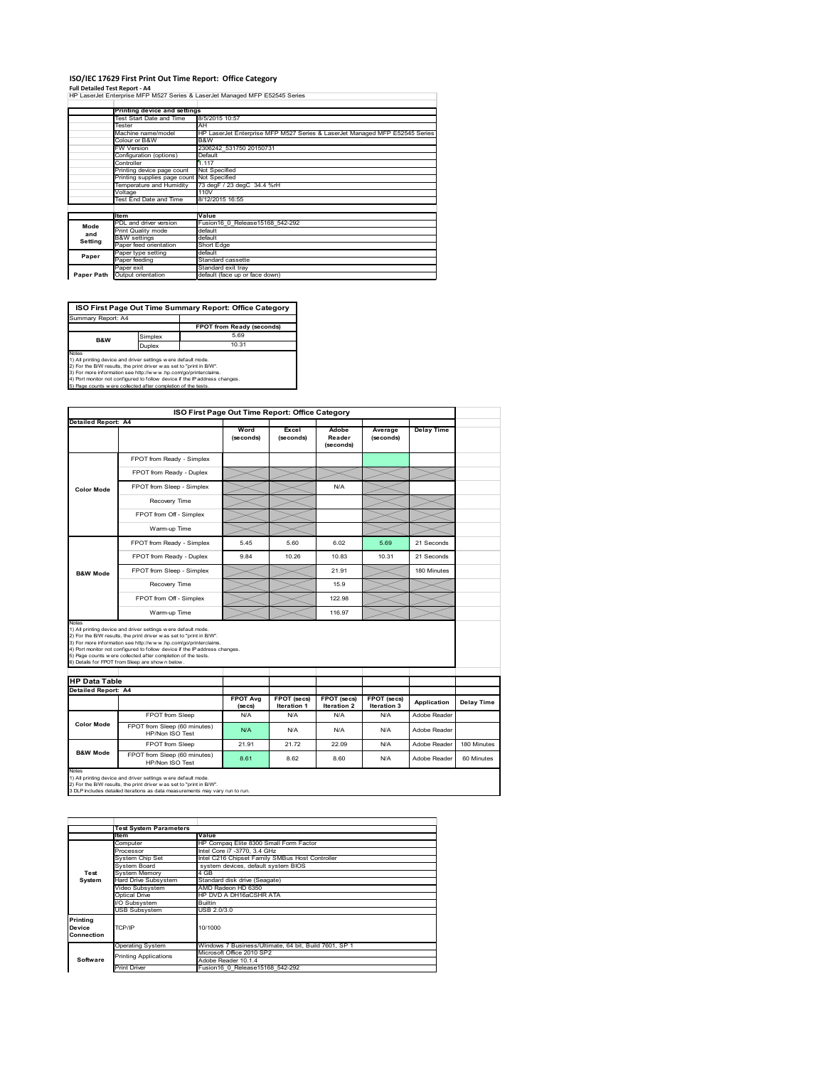#### **ISO/IEC 17629 First Print Out Time Report: Office Category**

**Full Detailed Test Report ‐ A4** HP LaserJet Enterprise MFP M527 Series & LaserJet Managed MFP E52545 Series

|            | Printing device and settings               |                                                                                   |  |  |  |
|------------|--------------------------------------------|-----------------------------------------------------------------------------------|--|--|--|
|            | Test Start Date and Time                   | 8/5/2015 10:57                                                                    |  |  |  |
|            | Tester                                     | AH<br>HP LaserJet Enterprise MFP M527 Series & LaserJet Managed MFP E52545 Series |  |  |  |
|            | Machine name/model                         |                                                                                   |  |  |  |
|            | Colour or B&W                              | B&W                                                                               |  |  |  |
|            | FW Version                                 | 2306242 531750 20150731                                                           |  |  |  |
|            | Configuration (options)                    | Default                                                                           |  |  |  |
|            | Controller                                 | 1.117                                                                             |  |  |  |
|            | Printing device page count                 | Not Specified<br>73 degF / 23 degC 34.4 %rH                                       |  |  |  |
|            | Printing supplies page count Not Specified |                                                                                   |  |  |  |
|            | Temperature and Humidity                   |                                                                                   |  |  |  |
|            | Voltage                                    | 110V                                                                              |  |  |  |
|            | <b>Test End Date and Time</b>              | 8/12/2015 16:55                                                                   |  |  |  |
|            | <b>Item</b>                                | Value                                                                             |  |  |  |
| Mode       | PDL and driver version                     | Fusion16 0 Release15168 542-292                                                   |  |  |  |
| and        | Print Quality mode                         | default                                                                           |  |  |  |
|            | <b>B&amp;W</b> settings                    | default                                                                           |  |  |  |
| Setting    | Paper feed orientation                     | Short Edge                                                                        |  |  |  |
|            | Paper type setting                         | default                                                                           |  |  |  |
| Paper      | Paper feeding                              | Standard cassette                                                                 |  |  |  |
|            | Paper exit                                 | Standard exit trav                                                                |  |  |  |
| Paper Path | Output orientation                         | default (face up or face down)                                                    |  |  |  |

**ISO First Page Out Time Summary Report: Office Category**

**FPOT from Ready (seconds)** Simplex 5.69<br>
Juplex 10.31 Duplex Notes<br>1) All printing device and driver settings were default mode.<br>2) For the BAV results, the print driver was set to "print in BAV".<br>3) For more information see http://www.hp.com/golprinterclaims.<br>4) Port monitor not co Summary Report: A4 **B&W**

|                                             |                                                                                                                                                                                                                                                                    | ISO First Page Out Time Report: Office Category |                            |                              |                            |                   |             |
|---------------------------------------------|--------------------------------------------------------------------------------------------------------------------------------------------------------------------------------------------------------------------------------------------------------------------|-------------------------------------------------|----------------------------|------------------------------|----------------------------|-------------------|-------------|
| <b>Detailed Report: A4</b>                  |                                                                                                                                                                                                                                                                    |                                                 |                            |                              |                            |                   |             |
|                                             |                                                                                                                                                                                                                                                                    | Word<br>(seconds)                               | Excel<br>(seconds)         | Adobe<br>Reader<br>(seconds) | Average<br>(seconds)       | <b>Delay Time</b> |             |
|                                             | FPOT from Ready - Simplex                                                                                                                                                                                                                                          |                                                 |                            |                              |                            |                   |             |
|                                             | FPOT from Ready - Duplex                                                                                                                                                                                                                                           |                                                 |                            |                              |                            |                   |             |
| <b>Color Mode</b>                           | FPOT from Sleep - Simplex                                                                                                                                                                                                                                          |                                                 |                            | N/A                          |                            |                   |             |
|                                             | Recovery Time                                                                                                                                                                                                                                                      |                                                 |                            |                              |                            |                   |             |
|                                             | FPOT from Off - Simplex                                                                                                                                                                                                                                            |                                                 |                            |                              |                            |                   |             |
|                                             | Warm-up Time                                                                                                                                                                                                                                                       |                                                 |                            |                              |                            |                   |             |
|                                             | FPOT from Ready - Simplex                                                                                                                                                                                                                                          | 545                                             | 5.60                       | 6.02                         | 5.69                       | 21 Seconds        |             |
|                                             | FPOT from Ready - Duplex                                                                                                                                                                                                                                           | 9.84                                            | 10.26                      | 10.83                        | 10.31                      | 21 Seconds        |             |
| <b>B&amp;W Mode</b>                         | FPOT from Sleep - Simplex                                                                                                                                                                                                                                          |                                                 |                            | 21.91                        |                            | 180 Minutes       |             |
|                                             | Recovery Time                                                                                                                                                                                                                                                      |                                                 |                            | 15.9                         |                            |                   |             |
|                                             | FPOT from Off - Simplex                                                                                                                                                                                                                                            |                                                 |                            | 122.98                       |                            |                   |             |
|                                             | Warm-up Time                                                                                                                                                                                                                                                       |                                                 |                            | 116.97                       |                            |                   |             |
|                                             | 1) All printing device and driver settings w ere default mode.<br>2) For the B/W results, the print driver w as set to "print in B/W".                                                                                                                             |                                                 |                            |                              |                            |                   |             |
| <b>HP Data Table</b><br>Detailed Report: A4 | 3) For more information see http://www.hp.com/go/printerclaims.<br>4) Port monitor not configured to follow device if the IP address changes.<br>5) Page counts w ere collected after completion of the tests.<br>6) Details for FPOT from Sleep are show n below. |                                                 |                            |                              |                            |                   |             |
|                                             |                                                                                                                                                                                                                                                                    | <b>FPOT Avg</b><br>(se cs)                      | FPOT (secs)<br>Iteration 1 | FPOT (secs)<br>Iteration 2   | FPOT (secs)<br>Iteration 3 | Application       | Delay Time  |
|                                             | FPOT from Sleep                                                                                                                                                                                                                                                    | N/A                                             | N/A                        | N/A                          | N/A                        | Adobe Reader      |             |
| <b>Color Mode</b>                           | FPOT from Sleep (60 minutes)<br>HP/Non ISO Test                                                                                                                                                                                                                    | N/A                                             | N/A                        | N/A                          | N/A                        | Adobe Reader      |             |
| <b>B&amp;W Mode</b>                         | FPOT from Sleep                                                                                                                                                                                                                                                    | 21.91                                           | 2172                       | 22.09                        | N/A                        | Adobe Reader      | 180 Minutes |

|                             | Value                                                                 |  |  |  |  |
|-----------------------------|-----------------------------------------------------------------------|--|--|--|--|
| Computer                    | HP Compag Elite 8300 Small Form Factor                                |  |  |  |  |
| Processor                   | Intel Core i7 -3770, 3.4 GHz                                          |  |  |  |  |
| System Chip Set             | Intel C216 Chipset Family SMBus Host Controller                       |  |  |  |  |
| System Board                | system devices, default system BIOS                                   |  |  |  |  |
| <b>System Memory</b>        | 4 GB                                                                  |  |  |  |  |
| <b>Hard Drive Subsystem</b> | Standard disk drive (Seagate)                                         |  |  |  |  |
| Video Subsystem             | AMD Radeon HD 6350                                                    |  |  |  |  |
| Optical Drive               | HP DVD A DH16aCSHR ATA                                                |  |  |  |  |
| I/O Subsystem               | <b>Builtin</b>                                                        |  |  |  |  |
| <b>USB Subsystem</b>        | USB 2.0/3.0                                                           |  |  |  |  |
|                             |                                                                       |  |  |  |  |
| TCP/IP                      | 10/1000                                                               |  |  |  |  |
|                             |                                                                       |  |  |  |  |
| <b>Operating System</b>     | Windows 7 Business/Ultimate, 64 bit, Build 7601, SP 1                 |  |  |  |  |
|                             | Microsoft Office 2010 SP2                                             |  |  |  |  |
|                             | Adobe Reader 10.1.4                                                   |  |  |  |  |
| <b>Print Driver</b>         | Fusion16 0 Release15168 542-292                                       |  |  |  |  |
|                             | <b>Test System Parameters</b><br>ltem<br><b>Printing Applications</b> |  |  |  |  |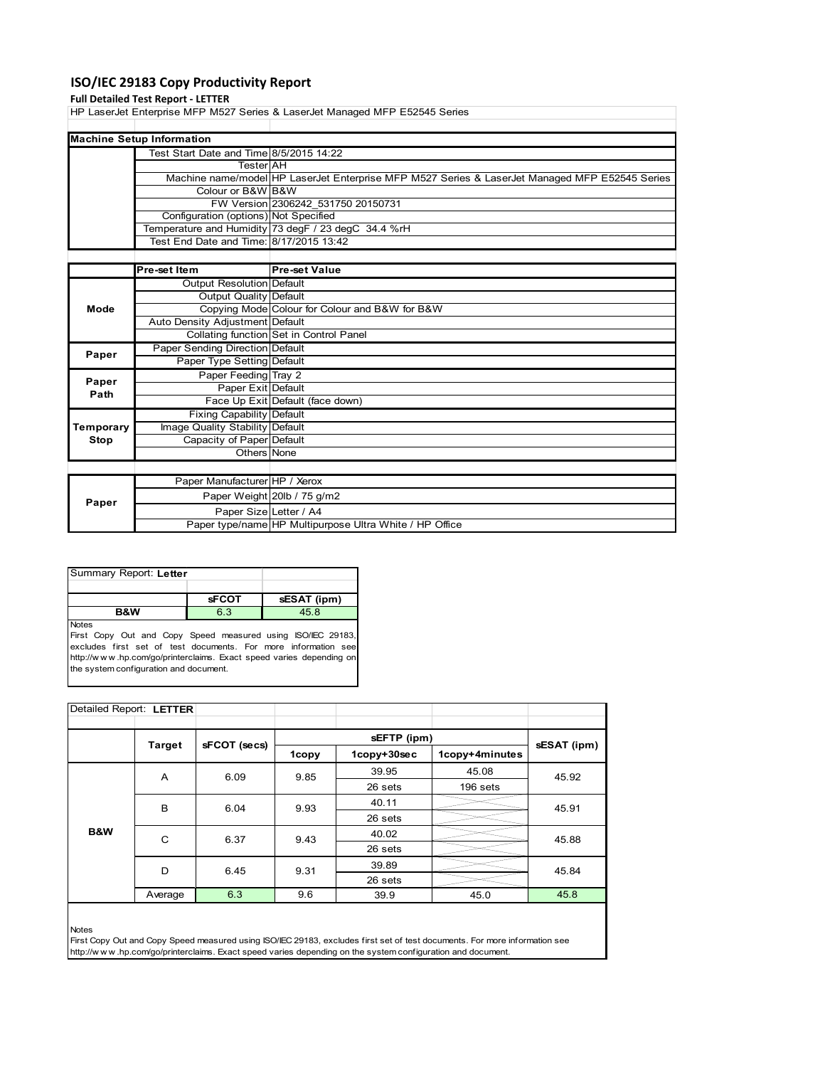## **ISO/IEC 29183 Copy Productivity Report**

### **Full Detailed Test Report ‐ LETTER**

HP LaserJet Enterprise MFP M527 Series & LaserJet Managed MFP E52545 Series

| <b>Machine Setup Information</b>        |                                                                                                |  |  |  |  |
|-----------------------------------------|------------------------------------------------------------------------------------------------|--|--|--|--|
| Test Start Date and Time 8/5/2015 14:22 |                                                                                                |  |  |  |  |
| <b>Tester</b> AH                        |                                                                                                |  |  |  |  |
|                                         | Machine name/model HP LaserJet Enterprise MFP M527 Series & LaserJet Managed MFP E52545 Series |  |  |  |  |
| Colour or B&W B&W                       |                                                                                                |  |  |  |  |
|                                         | FW Version 2306242 531750 20150731                                                             |  |  |  |  |
| Configuration (options) Not Specified   |                                                                                                |  |  |  |  |
|                                         | Temperature and Humidity 73 degF / 23 degC 34.4 %rH                                            |  |  |  |  |
| Test End Date and Time: 8/17/2015 13:42 |                                                                                                |  |  |  |  |
|                                         |                                                                                                |  |  |  |  |

|               | Pre-set Item                    | <b>Pre-set Value</b>                                    |
|---------------|---------------------------------|---------------------------------------------------------|
|               | Output Resolution Default       |                                                         |
|               | Output Quality Default          |                                                         |
| Mode          |                                 | Copying Mode Colour for Colour and B&W for B&W          |
|               | Auto Density Adjustment Default |                                                         |
|               |                                 | Collating function Set in Control Panel                 |
| Paper         | Paper Sending Direction Default |                                                         |
|               | Paper Type Setting Default      |                                                         |
|               | Paper Feeding Tray 2            |                                                         |
| Paper<br>Path | Paper Exit Default              |                                                         |
|               |                                 | Face Up Exit Default (face down)                        |
|               | Fixing Capability Default       |                                                         |
| Temporary     | Image Quality Stability Default |                                                         |
| Stop          | Capacity of Paper Default       |                                                         |
|               | Others None                     |                                                         |
|               |                                 |                                                         |
|               | Paper Manufacturer HP / Xerox   |                                                         |
| Paper         |                                 | Paper Weight 20lb / 75 g/m2                             |
|               | Paper Size Letter / A4          |                                                         |
|               |                                 | Paper type/name HP Multipurpose Ultra White / HP Office |

| Summary Report: Letter |              |             |  |  |
|------------------------|--------------|-------------|--|--|
|                        |              |             |  |  |
|                        | <b>SFCOT</b> | sESAT (ipm) |  |  |
| <b>B&amp;W</b>         | 6.3          | 45.8        |  |  |
| <b>Notes</b>           |              |             |  |  |

First Copy Out and Copy Speed measured using ISO/IEC 29183, excludes first set of test documents. For more information see http://w w w .hp.com/go/printerclaims. Exact speed varies depending on the system configuration and document.

| Detailed Report: LETTER |               |              |       |             |                |       |
|-------------------------|---------------|--------------|-------|-------------|----------------|-------|
|                         |               |              |       |             |                |       |
|                         | <b>Target</b> | sFCOT (secs) |       | sESAT (ipm) |                |       |
|                         |               |              | 1copy | 1copy+30sec | 1copy+4minutes |       |
|                         | A             | 6.09         | 9.85  | 39.95       | 45.08          | 45.92 |
|                         |               |              |       | 26 sets     | 196 sets       |       |
|                         | B             | 6.04         | 9.93  | 40.11       |                | 45.91 |
|                         |               |              |       | 26 sets     |                |       |
| B&W                     | C             | 6.37         | 9.43  | 40.02       |                | 45.88 |
|                         |               |              |       | 26 sets     |                |       |
|                         | D             | 6.45         | 9.31  | 39.89       |                | 45.84 |
|                         |               |              |       | 26 sets     |                |       |
|                         | Average       | 6.3          | 9.6   | 39.9        | 45.0           | 45.8  |

Notes

First Copy Out and Copy Speed measured using ISO/IEC 29183, excludes first set of test documents. For more information see http://w w w .hp.com/go/printerclaims. Exact speed varies depending on the system configuration and document.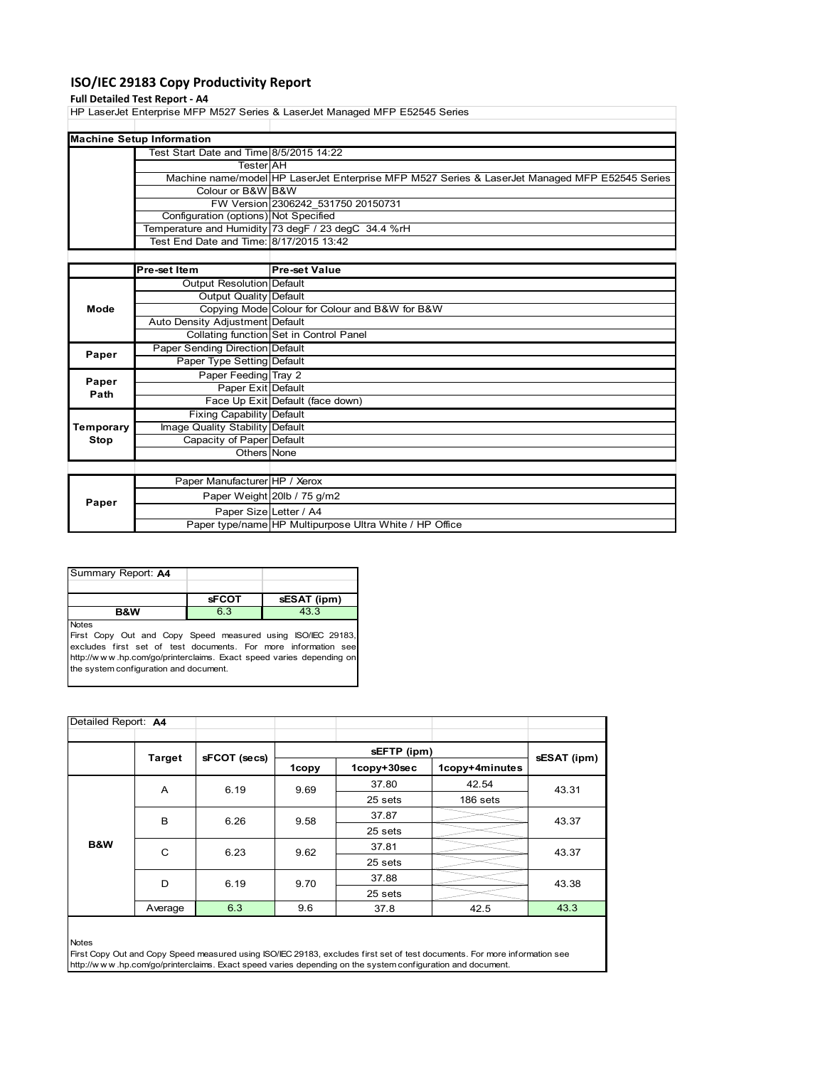## **ISO/IEC 29183 Copy Productivity Report**

### **Full Detailed Test Report ‐ A4**

HP LaserJet Enterprise MFP M527 Series & LaserJet Managed MFP E52545 Series

| <b>Machine Setup Information</b>        |                                                                                                |
|-----------------------------------------|------------------------------------------------------------------------------------------------|
| Test Start Date and Time 8/5/2015 14:22 |                                                                                                |
| TesterIAH                               |                                                                                                |
|                                         | Machine name/model HP LaserJet Enterprise MFP M527 Series & LaserJet Managed MFP E52545 Series |
| Colour or B&W B&W                       |                                                                                                |
|                                         | FW Version 2306242 531750 20150731                                                             |
| Configuration (options) Not Specified   |                                                                                                |
|                                         | Temperature and Humidity 73 degF / 23 degC 34.4 %rH                                            |
| Test End Date and Time: 8/17/2015 13:42 |                                                                                                |
|                                         |                                                                                                |

|           | <b>Pre-set Item</b>              | <b>Pre-set Value</b>                                    |
|-----------|----------------------------------|---------------------------------------------------------|
|           | Output Resolution Default        |                                                         |
|           | Output Quality Default           |                                                         |
| Mode      |                                  | Copying Mode Colour for Colour and B&W for B&W          |
|           | Auto Density Adjustment Default  |                                                         |
|           |                                  | Collating function Set in Control Panel                 |
| Paper     | Paper Sending Direction Default  |                                                         |
|           | Paper Type Setting Default       |                                                         |
| Paper     | Paper Feeding Tray 2             |                                                         |
| Path      | Paper Exit Default               |                                                         |
|           |                                  | Face Up Exit Default (face down)                        |
|           | <b>Fixing Capability Default</b> |                                                         |
| Temporary | Image Quality Stability Default  |                                                         |
| Stop      | Capacity of Paper Default        |                                                         |
|           | Others None                      |                                                         |
|           |                                  |                                                         |
|           | Paper Manufacturer HP / Xerox    |                                                         |
| Paper     |                                  | Paper Weight 20lb / 75 g/m2                             |
|           | Paper Size Letter / A4           |                                                         |
|           |                                  | Paper type/name HP Multipurpose Ultra White / HP Office |

| Summary Report: A4 |              |             |
|--------------------|--------------|-------------|
|                    |              |             |
|                    | <b>sFCOT</b> | sESAT (ipm) |
| <b>B&amp;W</b>     | 6.3          | 43.3        |
| <b>Notes</b>       |              |             |

First Copy Out and Copy Speed measured using ISO/IEC 29183, excludes first set of test documents. For more information see http://w w w .hp.com/go/printerclaims. Exact speed varies depending on the system configuration and document.

| Detailed Report: A4 |               |              |       |             |                |                |  |
|---------------------|---------------|--------------|-------|-------------|----------------|----------------|--|
|                     | <b>Target</b> |              |       |             |                |                |  |
|                     |               | sFCOT (secs) | 1copy | 1copy+30sec | 1copy+4minutes | sESAT (ipm)    |  |
|                     | A             | 6.19         | 9.69  | 37.80       | 42.54          | 43.31          |  |
|                     |               |              |       | 25 sets     | 186 sets       |                |  |
|                     | B             | 6.26         | 9.58  | 37.87       |                | 43.37<br>43.37 |  |
|                     |               |              |       | 25 sets     |                |                |  |
| B&W                 | C             | 6.23         | 9.62  | 37.81       |                |                |  |
|                     |               |              |       | 25 sets     |                |                |  |
|                     | D             | 6.19         | 9.70  | 37.88       |                | 43.38          |  |
|                     |               |              |       | 25 sets     |                |                |  |
|                     | Average       | 6.3          | 9.6   | 37.8        | 42.5           | 43.3           |  |

Notes

First Copy Out and Copy Speed measured using ISO/IEC 29183, excludes first set of test documents. For more information see http://w w w .hp.com/go/printerclaims. Exact speed varies depending on the system configuration and document.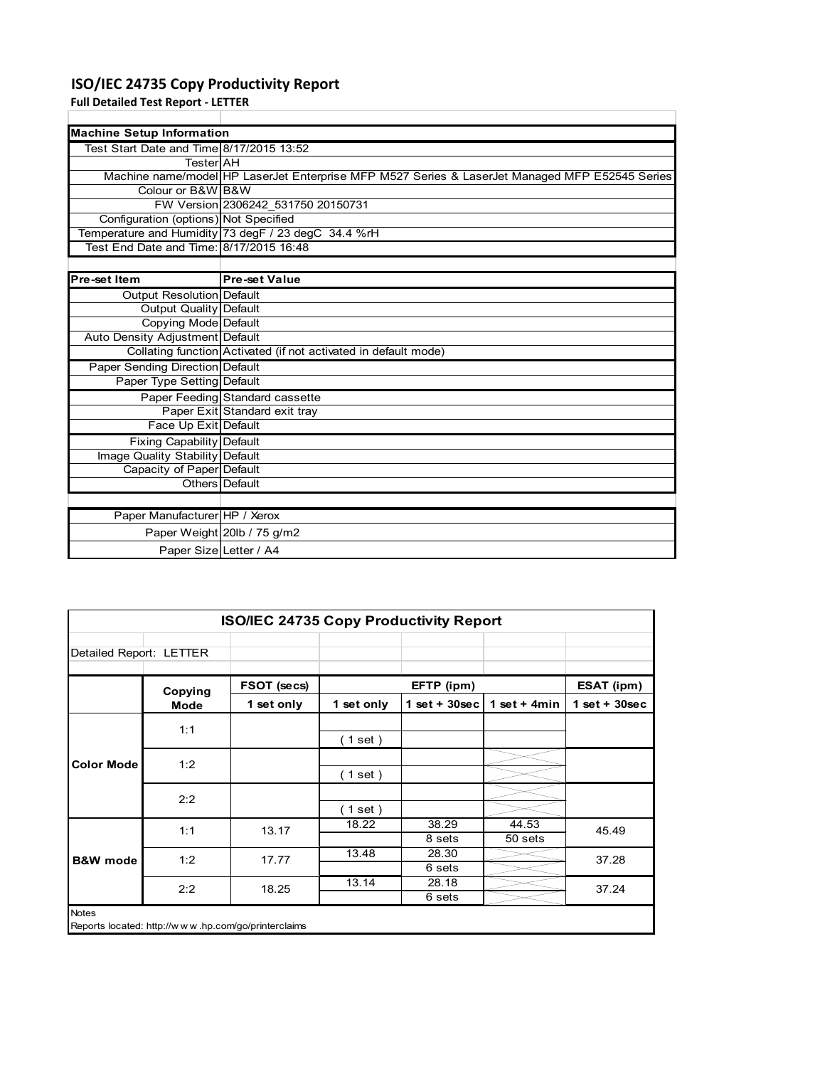## **ISO/IEC 24735 Copy Productivity Report**

**Full Detailed Test Report ‐ LETTER**

| <b>Machine Setup Information</b>         |                                                                                                |  |  |  |
|------------------------------------------|------------------------------------------------------------------------------------------------|--|--|--|
| Test Start Date and Time 8/17/2015 13:52 |                                                                                                |  |  |  |
| TesterIAH                                |                                                                                                |  |  |  |
|                                          | Machine name/model HP LaserJet Enterprise MFP M527 Series & LaserJet Managed MFP E52545 Series |  |  |  |
| Colour or B&W B&W                        |                                                                                                |  |  |  |
|                                          | FW Version 2306242 531750 20150731                                                             |  |  |  |
| Configuration (options) Not Specified    |                                                                                                |  |  |  |
|                                          | Temperature and Humidity 73 degF / 23 degC 34.4 %rH                                            |  |  |  |
| Test End Date and Time: 8/17/2015 16:48  |                                                                                                |  |  |  |
|                                          |                                                                                                |  |  |  |

| Pre-set Item                     | <b>Pre-set Value</b>                                            |
|----------------------------------|-----------------------------------------------------------------|
| Output Resolution Default        |                                                                 |
| Output Quality Default           |                                                                 |
| Copying Mode Default             |                                                                 |
| Auto Density Adjustment Default  |                                                                 |
|                                  | Collating function Activated (if not activated in default mode) |
| Paper Sending Direction Default  |                                                                 |
| Paper Type Setting Default       |                                                                 |
|                                  | Paper Feeding Standard cassette                                 |
|                                  | Paper Exit Standard exit tray                                   |
| Face Up Exit Default             |                                                                 |
| <b>Fixing Capability Default</b> |                                                                 |
| Image Quality Stability Default  |                                                                 |
| Capacity of Paper Default        |                                                                 |
|                                  | Others Default                                                  |
|                                  |                                                                 |
| Paper Manufacturer HP / Xerox    |                                                                 |
|                                  | Paper Weight 20lb / 75 g/m2                                     |
|                                  | Paper Size Letter / A4                                          |

| <b>ISO/IEC 24735 Copy Productivity Report</b> |         |                                                     |            |                 |                  |                 |  |
|-----------------------------------------------|---------|-----------------------------------------------------|------------|-----------------|------------------|-----------------|--|
| Detailed Report: LETTER                       |         |                                                     |            |                 |                  |                 |  |
|                                               | Copying | FSOT (secs)                                         | EFTP (ipm) |                 |                  | ESAT (ipm)      |  |
|                                               | Mode    | 1 set only                                          | 1 set only | $1$ set + 30sec | 1 set $+$ 4min   | $1$ set + 30sec |  |
|                                               | 1:1     |                                                     | (1 set )   |                 |                  |                 |  |
| <b>Color Mode</b>                             | 1:2     |                                                     | (1 set)    |                 |                  |                 |  |
|                                               | 2:2     |                                                     | $1$ set)   |                 |                  |                 |  |
| <b>B&amp;W</b> mode                           | 1:1     | 13.17                                               | 18.22      | 38.29<br>8 sets | 44.53<br>50 sets | 45.49           |  |
|                                               | 1:2     | 17.77                                               | 13.48      | 28.30<br>6 sets |                  | 37.28           |  |
|                                               | 2:2     | 18.25                                               | 13.14      | 28.18<br>6 sets |                  | 37.24           |  |
| <b>Notes</b>                                  |         | Reports located: http://www.hp.com/go/printerclaims |            |                 |                  |                 |  |